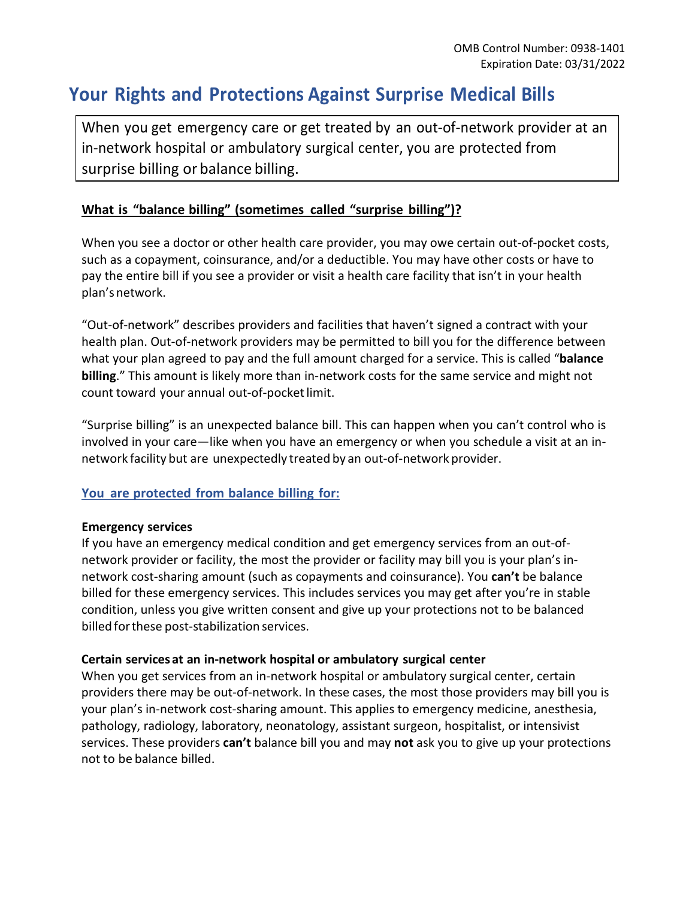# **Your Rights and Protections Against Surprise Medical Bills**

When you get emergency care or get treated by an out-of-network provider at an in-network hospital or ambulatory surgical center, you are protected from surprise billing or balance billing.

## **What is "balance billing" (sometimes called "surprise billing")?**

When you see a doctor or other health care provider, you may owe certain out-of-pocket costs, such as a copayment, coinsurance, and/or a deductible. You may have other costs or have to pay the entire bill if you see a provider or visit a health care facility that isn't in your health plan'snetwork.

"Out-of-network" describes providers and facilities that haven't signed a contract with your health plan. Out-of-network providers may be permitted to bill you for the difference between what your plan agreed to pay and the full amount charged for a service. This is called "**balance billing**." This amount is likely more than in-network costs for the same service and might not count toward your annual out-of-pocket limit.

"Surprise billing" is an unexpected balance bill. This can happen when you can't control who is involved in your care—like when you have an emergency or when you schedule a visit at an innetwork facility but are unexpectedly treated by an out-of-network provider.

### **You are protected from balance billing for:**

#### **Emergency services**

If you have an emergency medical condition and get emergency services from an out-ofnetwork provider or facility, the most the provider or facility may bill you is your plan's innetwork cost-sharing amount (such as copayments and coinsurance). You **can't** be balance billed for these emergency services. This includes services you may get after you're in stable condition, unless you give written consent and give up your protections not to be balanced billed forthese post-stabilization services.

#### **Certain services at an in-network hospital or ambulatory surgical center**

When you get services from an in-network hospital or ambulatory surgical center, certain providers there may be out-of-network. In these cases, the most those providers may bill you is your plan's in-network cost-sharing amount. This applies to emergency medicine, anesthesia, pathology, radiology, laboratory, neonatology, assistant surgeon, hospitalist, or intensivist services. These providers **can't** balance bill you and may **not** ask you to give up your protections not to be balance billed.